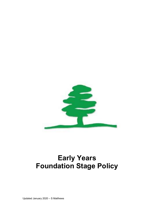

# Early Years Foundation Stage Policy

Updated January 2020 – S Matthews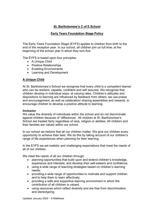# St. Bartholomew's C of E School

# Early Years Foundation Stage Policy

The Early Years Foundation Stage (EYFS) applies to children from birth to the end of the reception year. In our school, all children join us full time, at the beginning of the school year in which they turn five.

The EYFS is based upon four principles:

- A Unique Child
- Positive Relationships
- Enabling Environments
- Learning and Development

# A Unique Child

At St. Bartholomew's School we recognise that every child is a competent learner who can be resilient, capable, confident and self assured. We recognise that children develop in individual ways, at varying rates. Children's attitudes and dispositions to learning are influenced by feedback from others; we use praise and encouragement, as well as celebration/ sharing assemblies and rewards, to encourage children to develop a positive attitude to learning.

#### Inclusion

We value the diversity of individuals within the school and do not discriminate against children because of 'differences'. All children at St. Bartholomew's School are treated fairly regardless of race, religion or abilities. All children and their families are valued within our school.

In our school we believe that all our children matter. We give our children every opportunity to achieve their best. We do this by taking account of our children's range of life experiences when planning for their learning.

In the EYFS we set realistic and challenging expectations that meet the needs of all of our children.

We meet the needs of all our children through:

- planning opportunities that build upon and extend children's knowledge, experience and interests, and develop their self-esteem and confidence;
- using a wide range of teaching strategies based on children's learning needs;
- providing a wide range of opportunities to motivate and support children and to help them to learn effectively;
- providing a safe and supportive learning environment in which the contribution of all children is valued;
- using resources which reflect diversity and are free from discrimination and stereotyping;

Updated January 2020 – S Matthews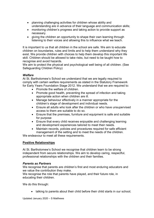- planning challenging activities for children whose ability and understanding are in advance of their language and communication skills;
- monitoring children's progress and taking action to provide support as necessary.
- giving the children an opportunity to shape their own learning through listening to their voices and allowing this to influence what we teach.

It is important to us that all children in the school are safe. We aim to educate children on boundaries, rules and limits and to help them understand why they exist. We provide children with choices to help them develop this important life skill. Children should be allowed to take risks, but need to be taught how to recognise and avoid hazards.

We aim to protect the physical and psychological well being of all children. (See Safeguarding Children Policy)

## **Welfare**

At St. Bartholomew's School we understand that we are legally required to comply with certain welfare requirements as stated in the Statutory Framework for Early Years Foundation Stage 2012. We understand that we are required to:

- Promote the welfare of children.
- Promote good health, preventing the spread of infection and taking appropriate action when children are ill.
- Manage behaviour effectively in a manner appropriate for the children's stage of development and individual needs.
- Ensure all adults who look after the children or who have unsupervised access to them are suitable to do so.
- Ensure that the premises, furniture and equipment is safe and suitable for purpose
- Ensure that every child receives enjoyable and challenging learning and development experiences tailored to meet their needs.
- Maintain records, policies and procedures required for safe efficient management of the setting and to meet the needs of the children.

We endeavour to meet all these requirements.

## Positive Relationships

At St. Bartholomew's School we recognise that children learn to be strong independent from secure relationships. We aim to develop caring, respectful, professional relationships with the children and their families.

#### Parents as Partners

We recognise that parents are children's first and most enduring educators and we value the contribution they make.

We recognise the role that parents have played, and their future role, in educating their children.

We do this through:

talking to parents about their child before their child starts in our school;

Updated January 2020 – S Matthews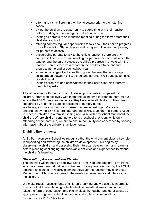- offering to visit children in their home setting prior to their starting school;
- giving the children the opportunity to spend time with their teacher before starting school during the induction process.
- inviting all parents to an induction meeting during the term before their child starts school;
- offering parents regular opportunities to talk about their child's progress in our Foundation Stage classes and using an online learning journey for parents to access.
- encouraging parents to talk to the child's teacher if there are any concerns. There is a formal meeting for parents each term at which the teacher and the parent discuss the child's progress in private with the teacher. Parents receive a report on their child's attainment and progress at the end of each school year;
- arranging a range of activities throughout the year that encourage collaboration between child, school and parents: Well done assemblies, Sports Day etc;
- inviting parents to add observations to their child's learning journey through Tapestry.

All staff involved with the EYFS aim to develop good relationships with all children, interacting positively with them and taking time to listen to them. At our school the EYFS class teacher acts a 'Key Person' to all children in their class, supported by a learning support assistant or nursery nurse.

We have good links with all of our pre-school feeder settings. Visits are undertaken by the EYFS co-ordinator and the EYFS teachers. This time is used to meet the children in a familiar setting and liaise with pre-school staff about the children. Where children continue to attend preschool provision, while only attending school part time, we aim to ensure continuity and coherence by sharing information about the children's achievements.

## Enabling Environments

At St. Bartholomew's School we recognise that the environment plays a key role in supporting and extending the children's development. This begins by observing the children and assessing their interests, development and learning, before planning challenging but achievable activities and experiences to extend the children's learning.

#### Observation, Assessment and Planning

The planning within the EYFS follows Long Term Plan and Medium Term Plans, which are based around half termly themes. These plans are used by the EYFS teachers as a guide for weekly planning; however the teacher may alter these Medium Term Plans in response to the needs (achievements and interests) of the children.

Updated January 2020 – S Matthews We make regular assessments of children's learning and we use this information to ensure that future planning reflects identified needs. Assessment in the EYFS takes the form of observation, and this involves the teacher and other adults as appropriate. Regular moderation meetings take place between all EYFS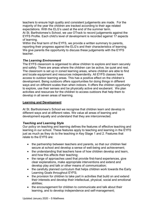teachers to ensure high quality and consistent judgements are made. For the majority of the year the children are tracked according to their age related expectations. With the ELG's used at the end of the summer term.

At St. Bartholomew's School, we use OTrack to record judgements against the EYFS Profile. Each child's level of development is recorded against 17 aspects of learning.

Within the final term of the EYFS, we provide a written summary to parents, reporting their progress against the ELG's and their characteristics of learning. We give parents the opportunity to discuss these judgements with the EYFS teacher.

#### The Learning Environment

The EYFS classroom is organised to allow children to explore and learn securely and safely. There are areas where the children can be active, be quiet and rest. The classroom is set up in zoned learning areas, where children are able to find and locate equipment and resources independently. All EYFS classes have access to outdoor learning areas. This has a positive effect on the children's development. Being outdoors offers opportunities for doing things in different ways and on different scales than when indoors. It offers the children opportunity to explore, use their senses and be physically active and exuberant. We plan activities and resources for the children to access outdoors that help them to develop in all seven areas of learning.

#### Learning and Development

At St. Bartholomew's School we recognise that children learn and develop in different ways and at different rates. We value all areas of learning and development equally and understand that they are interconnected.

#### Teaching and Learning Style

Our policy on teaching and learning defines the features of effective teaching and learning in our school. These features apply to teaching and learning in the EYFS just as much as they do to the teaching in Key Stage 1 and 2. Features that relate to the EYFS are:

- the partnership between teachers and parents, so that our children feel secure at school and develop a sense of well-being and achievement;
- the understanding that teachers have of how children develop and learn, and how this affects their teaching;
- the range of approaches used that provide first-hand experiences, give clear explanations, make appropriate interventions and extend and develop play and talk or other means of communication;
- the carefully planned curriculum that helps children work towards the Early Learning Goals throughout EYFS;
- the provision for children to take part in activities that build on and extend their interests and develop their intellectual, physical, social and emotional abilities;
- the encouragement for children to communicate and talk about their learning, and to develop independence and self-management;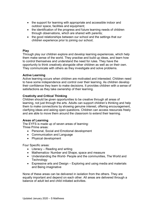- the support for learning with appropriate and accessible indoor and outdoor space, facilities and equipment;
- the identification of the progress and future learning needs of children through observations, which are shared with parents;
- the good relationships between our school and the settings that our children experience prior to joining our school;

#### Play

Through play our children explore and develop learning experiences, which help them make sense of the world. They practise and build up ideas, and learn how to control themselves and understand the need for rules. They have the opportunity to think creatively alongside other children as well as on their own. They communicate with others as they investigate and solve problems.

#### Active Learning

Active learning occurs when children are motivated and interested. Children need to have some independence and control over their learning. As children develop their confidence they learn to make decisions. It provides children with a sense of satisfactions as they take ownership of their learning.

#### Creativity and Critical Thinking

Children should be given opportunities to be creative through all areas of learning, not just through the arts. Adults can support children's thinking and help them to make connections by showing genuine interest, offering encouragement, clarifying ideas and asking open questions. Children can access resources freely and are able to move them around the classroom to extend their learning.

#### Areas of Learning

The EYFS is made up of seven areas of learning: Three Prime areas:

- Personal, Social and Emotional development
- Communication and Language
- Physical development

Four Specific areas:

- Literacy Reading and writing
- Mathematics- Number and Shape, space and measure
- Understanding the World- People and the communities, The World and **Technology**
- Expressive arts and Design Exploring and using media and materials and Being imaginative

None of these areas can be delivered in isolation from the others. They are equally important and depend on each other. All areas are delivered through a balance of adult led and child initiated activities.